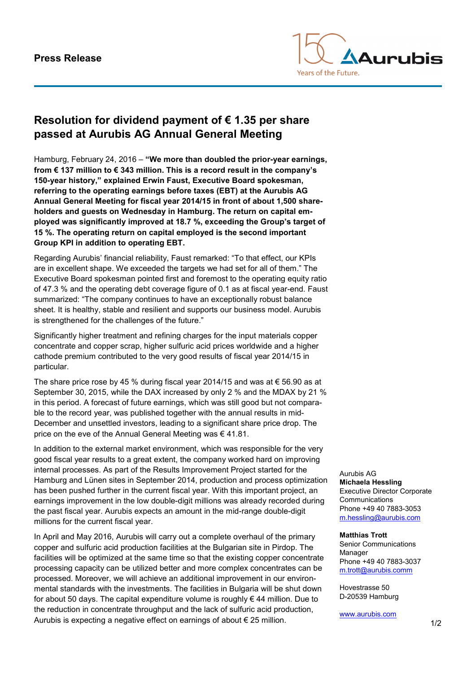

## **Resolution for dividend payment of € 1.35 per share passed at Aurubis AG Annual General Meeting**

Hamburg, February 24, 2016 – **"We more than doubled the prior-year earnings, from € 137 million to € 343 million. This is a record result in the company's 150-year history," explained Erwin Faust, Executive Board spokesman, referring to the operating earnings before taxes (EBT) at the Aurubis AG Annual General Meeting for fiscal year 2014/15 in front of about 1,500 shareholders and guests on Wednesday in Hamburg. The return on capital employed was significantly improved at 18.7 %, exceeding the Group's target of 15 %. The operating return on capital employed is the second important Group KPI in addition to operating EBT.**

Regarding Aurubis' financial reliability, Faust remarked: "To that effect, our KPIs are in excellent shape. We exceeded the targets we had set for all of them." The Executive Board spokesman pointed first and foremost to the operating equity ratio of 47.3 % and the operating debt coverage figure of 0.1 as at fiscal year-end. Faust summarized: "The company continues to have an exceptionally robust balance sheet. It is healthy, stable and resilient and supports our business model. Aurubis is strengthened for the challenges of the future."

Significantly higher treatment and refining charges for the input materials copper concentrate and copper scrap, higher sulfuric acid prices worldwide and a higher cathode premium contributed to the very good results of fiscal year 2014/15 in particular.

The share price rose by 45 % during fiscal year 2014/15 and was at  $\epsilon$  56.90 as at September 30, 2015, while the DAX increased by only 2 % and the MDAX by 21 % in this period. A forecast of future earnings, which was still good but not comparable to the record year, was published together with the annual results in mid-December and unsettled investors, leading to a significant share price drop. The price on the eve of the Annual General Meeting was € 41.81.

In addition to the external market environment, which was responsible for the very good fiscal year results to a great extent, the company worked hard on improving internal processes. As part of the Results Improvement Project started for the Hamburg and Lünen sites in September 2014, production and process optimization has been pushed further in the current fiscal year. With this important project, an earnings improvement in the low double-digit millions was already recorded during the past fiscal year. Aurubis expects an amount in the mid-range double-digit millions for the current fiscal year.

In April and May 2016, Aurubis will carry out a complete overhaul of the primary copper and sulfuric acid production facilities at the Bulgarian site in Pirdop. The facilities will be optimized at the same time so that the existing copper concentrate processing capacity can be utilized better and more complex concentrates can be processed. Moreover, we will achieve an additional improvement in our environmental standards with the investments. The facilities in Bulgaria will be shut down for about 50 days. The capital expenditure volume is roughly € 44 million. Due to the reduction in concentrate throughput and the lack of sulfuric acid production, Aurubis is expecting a negative effect on earnings of about  $\epsilon$  25 million.

Aurubis AG **Michaela Hessling** Executive Director Corporate **Communications** Phone +49 40 7883-3053 [m.hessling@aurubis.com](mailto:m.hessling@aurubis.com)

## **Matthias Trott**

Senior Communications Manager Phone +49 40 7883-3037 [m.trott@aurubis.comm](mailto:m.trott@aurubis.comm)

Hovestrasse 50 D-20539 Hamburg

[www.aurubis.com](http://www.aurubis.com/)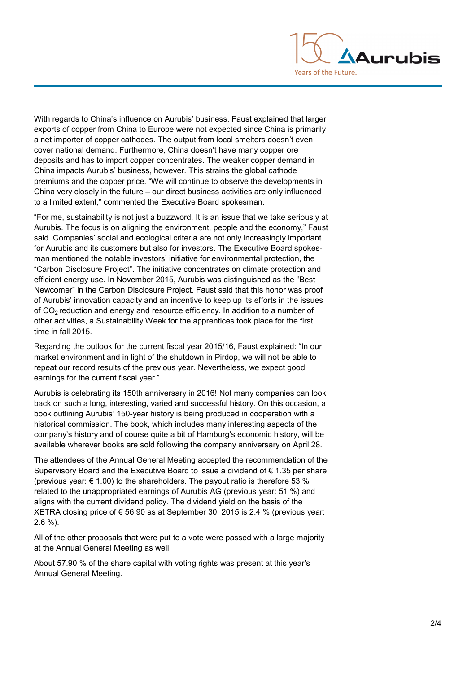

With regards to China's influence on Aurubis' business, Faust explained that larger exports of copper from China to Europe were not expected since China is primarily a net importer of copper cathodes. The output from local smelters doesn't even cover national demand. Furthermore, China doesn't have many copper ore deposits and has to import copper concentrates. The weaker copper demand in China impacts Aurubis' business, however. This strains the global cathode premiums and the copper price. "We will continue to observe the developments in China very closely in the future **–** our direct business activities are only influenced to a limited extent," commented the Executive Board spokesman.

"For me, sustainability is not just a buzzword. It is an issue that we take seriously at Aurubis. The focus is on aligning the environment, people and the economy," Faust said. Companies' social and ecological criteria are not only increasingly important for Aurubis and its customers but also for investors. The Executive Board spokesman mentioned the notable investors' initiative for environmental protection, the "Carbon Disclosure Project". The initiative concentrates on climate protection and efficient energy use. In November 2015, Aurubis was distinguished as the "Best Newcomer" in the Carbon Disclosure Project. Faust said that this honor was proof of Aurubis' innovation capacity and an incentive to keep up its efforts in the issues of  $CO<sub>2</sub>$  reduction and energy and resource efficiency. In addition to a number of other activities, a Sustainability Week for the apprentices took place for the first time in fall 2015.

Regarding the outlook for the current fiscal year 2015/16, Faust explained: "In our market environment and in light of the shutdown in Pirdop, we will not be able to repeat our record results of the previous year. Nevertheless, we expect good earnings for the current fiscal year."

Aurubis is celebrating its 150th anniversary in 2016! Not many companies can look back on such a long, interesting, varied and successful history. On this occasion, a book outlining Aurubis' 150-year history is being produced in cooperation with a historical commission. The book, which includes many interesting aspects of the company's history and of course quite a bit of Hamburg's economic history, will be available wherever books are sold following the company anniversary on April 28.

The attendees of the Annual General Meeting accepted the recommendation of the Supervisory Board and the Executive Board to issue a dividend of  $\epsilon$  1.35 per share (previous year:  $\epsilon$  1.00) to the shareholders. The payout ratio is therefore 53 % related to the unappropriated earnings of Aurubis AG (previous year: 51 %) and aligns with the current dividend policy. The dividend yield on the basis of the XETRA closing price of  $\epsilon$  56.90 as at September 30, 2015 is 2.4 % (previous year: 2.6 %).

All of the other proposals that were put to a vote were passed with a large majority at the Annual General Meeting as well.

About 57.90 % of the share capital with voting rights was present at this year's Annual General Meeting.